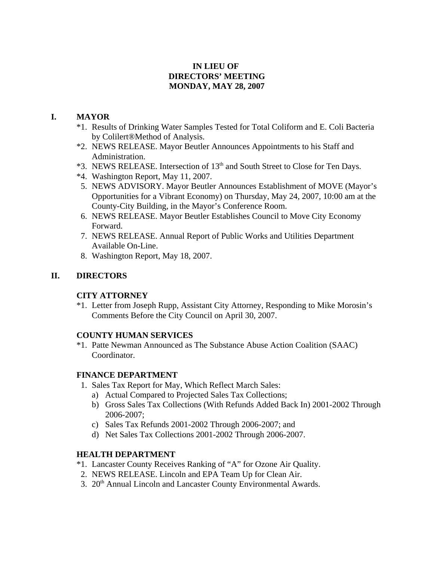# **IN LIEU OF DIRECTORS' MEETING MONDAY, MAY 28, 2007**

# **I. MAYOR**

- \*1. Results of Drinking Water Samples Tested for Total Coliform and E. Coli Bacteria by Colilert®Method of Analysis.
- \*2. NEWS RELEASE. Mayor Beutler Announces Appointments to his Staff and Administration.
- \*3. NEWS RELEASE. Intersection of 13th and South Street to Close for Ten Days.
- \*4. Washington Report, May 11, 2007.
- 5. NEWS ADVISORY. Mayor Beutler Announces Establishment of MOVE (Mayor's Opportunities for a Vibrant Economy) on Thursday, May 24, 2007, 10:00 am at the County-City Building, in the Mayor's Conference Room.
- 6. NEWS RELEASE. Mayor Beutler Establishes Council to Move City Economy Forward.
- 7. NEWS RELEASE. Annual Report of Public Works and Utilities Department Available On-Line.
- 8. Washington Report, May 18, 2007.

# **II. DIRECTORS**

## **CITY ATTORNEY**

\*1. Letter from Joseph Rupp, Assistant City Attorney, Responding to Mike Morosin's Comments Before the City Council on April 30, 2007.

# **COUNTY HUMAN SERVICES**

\*1. Patte Newman Announced as The Substance Abuse Action Coalition (SAAC) Coordinator.

## **FINANCE DEPARTMENT**

- 1. Sales Tax Report for May, Which Reflect March Sales:
	- a) Actual Compared to Projected Sales Tax Collections;
	- b) Gross Sales Tax Collections (With Refunds Added Back In) 2001-2002 Through 2006-2007;
	- c) Sales Tax Refunds 2001-2002 Through 2006-2007; and
	- d) Net Sales Tax Collections 2001-2002 Through 2006-2007.

# **HEALTH DEPARTMENT**

- \*1. Lancaster County Receives Ranking of "A" for Ozone Air Quality.
- 2. NEWS RELEASE. Lincoln and EPA Team Up for Clean Air.
- 3. 20<sup>th</sup> Annual Lincoln and Lancaster County Environmental Awards.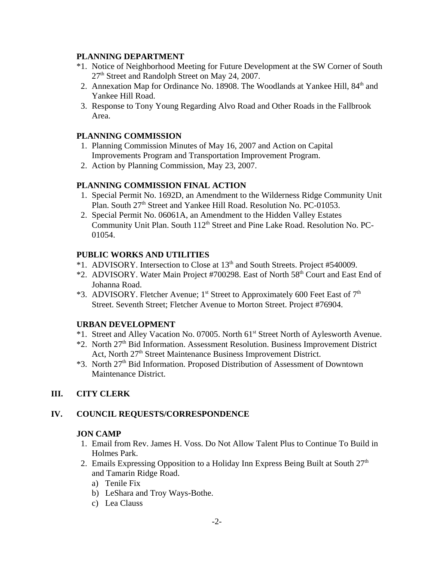### **PLANNING DEPARTMENT**

- \*1. Notice of Neighborhood Meeting for Future Development at the SW Corner of South 27<sup>th</sup> Street and Randolph Street on May 24, 2007.
- 2. Annexation Map for Ordinance No. 18908. The Woodlands at Yankee Hill, 84<sup>th</sup> and Yankee Hill Road.
- 3. Response to Tony Young Regarding Alvo Road and Other Roads in the Fallbrook Area.

#### **PLANNING COMMISSION**

- 1. Planning Commission Minutes of May 16, 2007 and Action on Capital Improvements Program and Transportation Improvement Program.
- 2. Action by Planning Commission, May 23, 2007.

## **PLANNING COMMISSION FINAL ACTION**

- 1. Special Permit No. 1692D, an Amendment to the Wilderness Ridge Community Unit Plan. South 27<sup>th</sup> Street and Yankee Hill Road. Resolution No. PC-01053.
- 2. Special Permit No. 06061A, an Amendment to the Hidden Valley Estates Community Unit Plan. South 112<sup>th</sup> Street and Pine Lake Road. Resolution No. PC-01054.

#### **PUBLIC WORKS AND UTILITIES**

- \*1. ADVISORY. Intersection to Close at 13th and South Streets. Project #540009.
- \*2. ADVISORY. Water Main Project #700298. East of North 58th Court and East End of Johanna Road.
- \*3. ADVISORY. Fletcher Avenue; 1<sup>st</sup> Street to Approximately 600 Feet East of  $7<sup>th</sup>$ Street. Seventh Street; Fletcher Avenue to Morton Street. Project #76904.

## **URBAN DEVELOPMENT**

- \*1. Street and Alley Vacation No. 07005. North 61st Street North of Aylesworth Avenue.
- \*2. North 27th Bid Information. Assessment Resolution. Business Improvement District Act, North 27<sup>th</sup> Street Maintenance Business Improvement District.
- \*3. North 27th Bid Information. Proposed Distribution of Assessment of Downtown Maintenance District.

## **III. CITY CLERK**

## **IV. COUNCIL REQUESTS/CORRESPONDENCE**

#### **JON CAMP**

- 1. Email from Rev. James H. Voss. Do Not Allow Talent Plus to Continue To Build in Holmes Park.
- 2. Emails Expressing Opposition to a Holiday Inn Express Being Built at South  $27<sup>th</sup>$ and Tamarin Ridge Road.
	- a) Tenile Fix
	- b) LeShara and Troy Ways-Bothe.
	- c) Lea Clauss